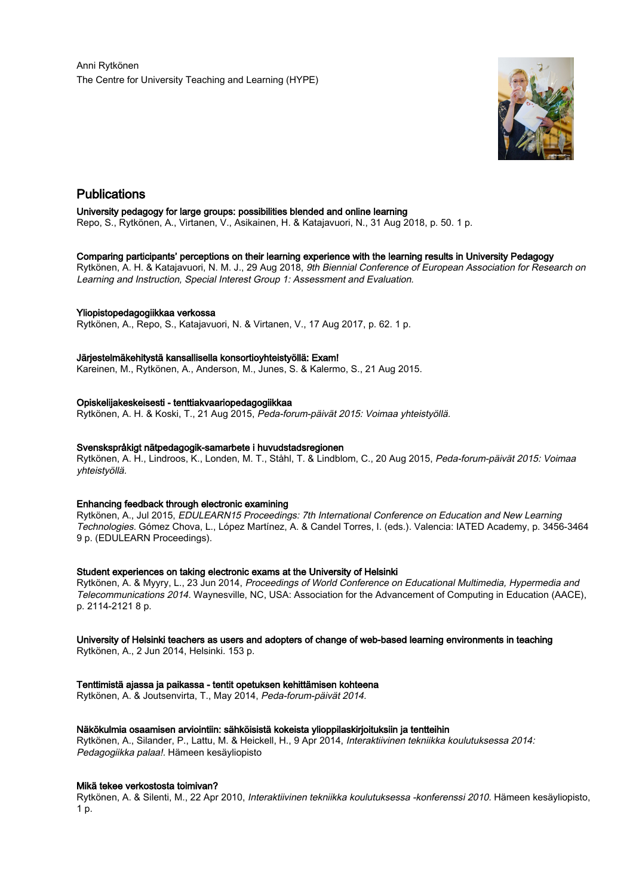

# Publications

## University pedagogy for large groups: possibilities blended and online learning

Repo, S., Rytkönen, A., Virtanen, V., Asikainen, H. & Katajavuori, N., 31 Aug 2018, p. 50. 1 p.

## Comparing participants' perceptions on their learning experience with the learning results in University Pedagogy

Rytkönen, A. H. & Katajavuori, N. M. J., 29 Aug 2018, 9th Biennial Conference of European Association for Research on Learning and Instruction, Special Interest Group 1: Assessment and Evaluation.

# Yliopistopedagogiikkaa verkossa

Rytkönen, A., Repo, S., Katajavuori, N. & Virtanen, V., 17 Aug 2017, p. 62. 1 p.

## Järjestelmäkehitystä kansallisella konsortioyhteistyöllä: Exam!

Kareinen, M., Rytkönen, A., Anderson, M., Junes, S. & Kalermo, S., 21 Aug 2015.

## Opiskelijakeskeisesti - tenttiakvaariopedagogiikkaa

Rytkönen, A. H. & Koski, T., 21 Aug 2015, Peda-forum-päivät 2015: Voimaa yhteistyöllä.

## Svenskspråkigt nätpedagogik-samarbete i huvudstadsregionen

Rytkönen, A. H., Lindroos, K., Londen, M. T., Ståhl, T. & Lindblom, C., 20 Aug 2015, Peda-forum-päivät 2015: Voimaa yhteistyöllä.

## Enhancing feedback through electronic examining

Rytkönen, A., Jul 2015, EDULEARN15 Proceedings: 7th International Conference on Education and New Learning Technologies. Gómez Chova, L., López Martínez, A. & Candel Torres, I. (eds.). Valencia: IATED Academy, p. 3456-3464 9 p. (EDULEARN Proceedings).

# Student experiences on taking electronic exams at the University of Helsinki

Rytkönen, A. & Myyry, L., 23 Jun 2014, Proceedings of World Conference on Educational Multimedia, Hypermedia and Telecommunications 2014. Waynesville, NC, USA: Association for the Advancement of Computing in Education (AACE), p. 2114-2121 8 p.

# University of Helsinki teachers as users and adopters of change of web-based learning environments in teaching

Rytkönen, A., 2 Jun 2014, Helsinki. 153 p.

# Tenttimistä ajassa ja paikassa - tentit opetuksen kehittämisen kohteena

Rytkönen, A. & Joutsenvirta, T., May 2014, Peda-forum-päivät 2014.

## Näkökulmia osaamisen arviointiin: sähköisistä kokeista ylioppilaskirjoituksiin ja tentteihin

Rytkönen, A., Silander, P., Lattu, M. & Heickell, H., 9 Apr 2014, Interaktiivinen tekniikka koulutuksessa 2014: Pedagogiikka palaa!. Hämeen kesäyliopisto

## Mikä tekee verkostosta toimivan?

Rytkönen, A. & Silenti, M., 22 Apr 2010, Interaktiivinen tekniikka koulutuksessa -konferenssi 2010. Hämeen kesäyliopisto, 1 p.